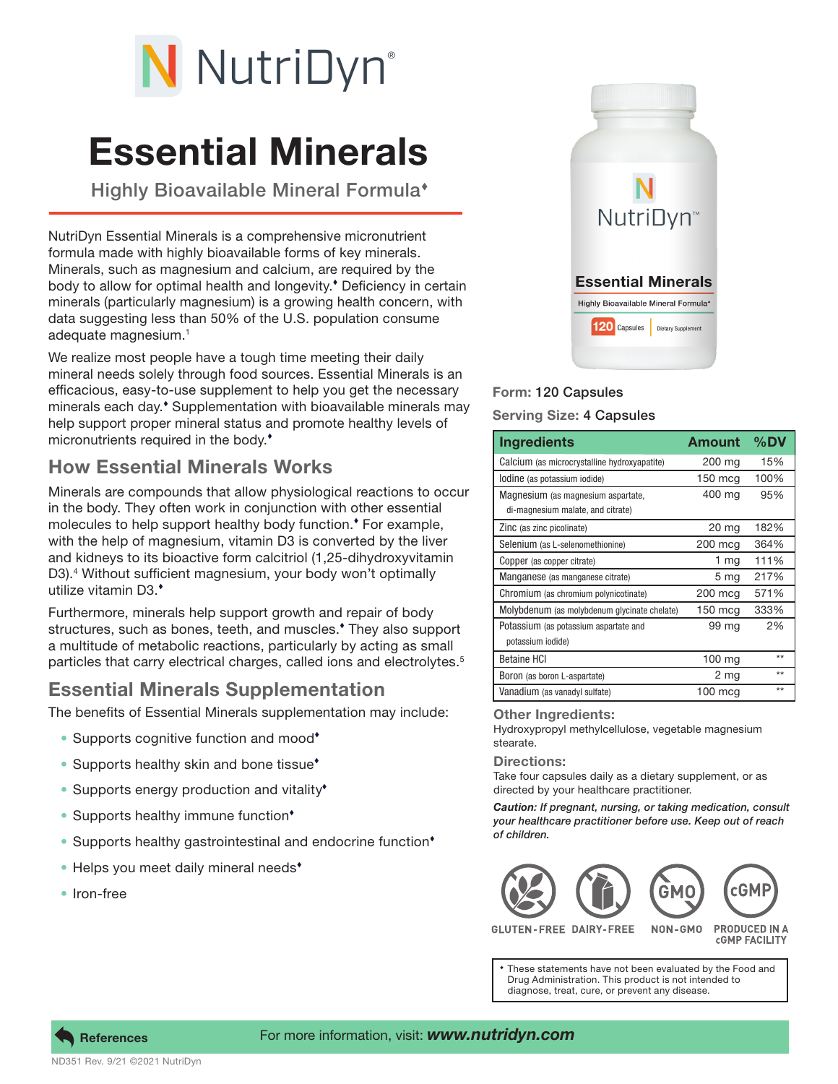

# Essential Minerals

Highly Bioavailable Mineral Formula<sup>\*</sup>

NutriDyn Essential Minerals is a comprehensive micronutrient formula made with highly bioavailable forms of key minerals. Minerals, such as magnesium and calcium, are required by the body to allow for optimal health and longevity. Deficiency in certain minerals (particularly magnesium) is a growing health concern, with data suggesting less than 50% of the U.S. population consume adequate magnesium.1

We realize most people have a tough time meeting their daily mineral needs solely through food sources. Essential Minerals is an efficacious, easy-to-use supplement to help you get the necessary minerals each day.<sup>\*</sup> Supplementation with bioavailable minerals may help support proper mineral status and promote healthy levels of micronutrients required in the body.<sup>\*</sup>

# How Essential Minerals Works

Minerals are compounds that allow physiological reactions to occur in the body. They often work in conjunction with other essential molecules to help support healthy body function. For example, with the help of magnesium, vitamin D3 is converted by the liver and kidneys to its bioactive form calcitriol (1,25-dihydroxyvitamin D3).4 Without sufficient magnesium, your body won't optimally utilize vitamin D3.

Furthermore, minerals help support growth and repair of body structures, such as bones, teeth, and muscles. They also support a multitude of metabolic reactions, particularly by acting as small particles that carry electrical charges, called ions and electrolytes.<sup>5</sup>

## Essential Minerals Supplementation

The benefits of Essential Minerals supplementation may include:

- Supports cognitive function and mood<sup>\*</sup>
- Supports healthy skin and bone tissue<sup>\*</sup>
- Supports energy production and vitality<sup>\*</sup>
- Supports healthy immune function<sup>\*</sup>
- Supports healthy gastrointestinal and endocrine function<sup>\*</sup>
- Helps you meet daily mineral needs<sup>\*</sup>
- Iron-free



## Form: 120 Capsules

### Serving Size: 4 Capsules

| <b>Ingredients</b>                                                      | Amount            | %DV  |
|-------------------------------------------------------------------------|-------------------|------|
| Calcium (as microcrystalline hydroxyapatite)                            | 200 mg            | 15%  |
| lodine (as potassium iodide)                                            | $150 \text{ mcq}$ | 100% |
| Magnesium (as magnesium aspartate,<br>di-magnesium malate, and citrate) | 400 mg            | 95%  |
| Zinc (as zinc picolinate)                                               | 20 mg             | 182% |
| Selenium (as L-selenomethionine)                                        | 200 mcg           | 364% |
| Copper (as copper citrate)                                              | 1 mg              | 111% |
| Manganese (as manganese citrate)                                        | 5 mg              | 217% |
| Chromium (as chromium polynicotinate)                                   | 200 mcg           | 571% |
| Molybdenum (as molybdenum glycinate chelate)                            | $150$ mcg         | 333% |
| Potassium (as potassium aspartate and<br>potassium iodide)              | 99 mg             | 2%   |
| <b>Betaine HCI</b>                                                      | 100 mg            | $*$  |
| Boron (as boron L-aspartate)                                            | 2 mg              | $**$ |
| Vanadium (as vanadyl sulfate)                                           | $100 \text{ mcg}$ | $**$ |

#### Other Ingredients:

Hydroxypropyl methylcellulose, vegetable magnesium stearate.

Directions:

Take four capsules daily as a dietary supplement, or as directed by your healthcare practitioner.

*Caution: If pregnant, nursing, or taking medication, consult your healthcare practitioner before use. Keep out of reach of children.*



**GLUTEN-FREE DAIRY-FREE** 

**PRODUCED IN A CGMP FACILITY** 

These statements have not been evaluated by the Food and Drug Administration. This product is not intended to diagnose, treat, cure, or prevent any disease.